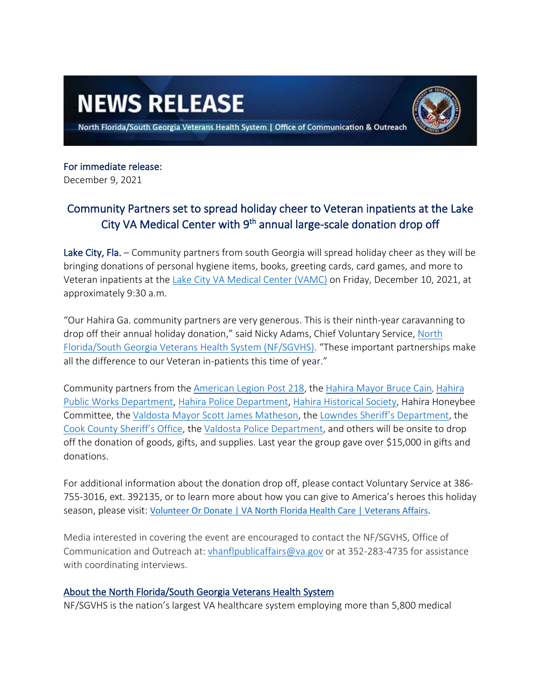## **NEWS RELEASE**

North Florida/South Georgia Veterans Health System | Office of Communication & Outreach

## For immediate release:

December 9, 2021

## Community Partners set to spread holiday cheer to Veteran inpatients at the Lake City VA Medical Center with 9<sup>th</sup> annual large-scale donation drop off

Lake City, Fla. – Community partners from south Georgia will spread holiday cheer as they will be bringing donations of personal hygiene items, books, greeting cards, card games, and more to Veteran inpatients at the [Lake City VA Medical Center \(VAMC\)](https://www.va.gov/north-florida-health-care/locations/lake-city-va-medical-center/) on Friday, December 10, 2021, at approximately 9:30 a.m.

"Our Hahira Ga. community partners are very generous. This is their ninth-year caravanning to drop off their annual holiday donation," said Nicky Adams, Chief Voluntary Service, North [Florida/South Georgia Veterans Health System \(NF/SGVHS\).](https://www.va.gov/north-florida-health-care/) "These important partnerships make all the difference to our Veteran in-patients this time of year."

Community partners from the [American Legion Post 218,](https://www.facebook.com/AmericanLegionPost218HahiraGA/) the [Hahira Mayor Bruce Cain](http://hahiraga.gov/municipal-officials), [Hahira](http://hahiraga.gov/municipal-departments/publicworks)  [Public Works Department,](http://hahiraga.gov/municipal-departments/publicworks) [Hahira Police Department,](http://hahiraga.gov/municipal-departments/police-department) [Hahira Historical Society,](http://hahiraga.gov/historical-society) Hahira Honeybee Committee, the [Valdosta Mayor Scott James Matheson,](https://www.valdostacity.com/mayor) the [Lowndes Sheriff's Department,](https://lowndessheriff.com/) the [Cook County Sheriff's Office,](http://cookcogasheriff.com/) the [Valdosta Police Department,](https://www.valdostacity.com/police-department) and others will be onsite to drop off the donation of goods, gifts, and supplies. Last year the group gave over \$15,000 in gifts and donations.

For additional information about the donation drop off, please contact Voluntary Service at 386- 755-3016, ext. 392135, or to learn more about how you can give to America's heroes this holiday season, please visit: [Volunteer Or Donate | VA North Florida Health Care | Veterans Affairs.](https://www.va.gov/north-florida-health-care/work-with-us/volunteer-or-donate/)

Media interested in covering the event are encouraged to contact the NF/SGVHS, Office of Communication and Outreach at: [vhanflpublicaffairs@va.gov](mailto:vhanflpublicaffairs@va.gov) or at 352-283-4735 for assistance with coordinating interviews.

## About the North Florida/South Georgia Veterans Health System

NF/SGVHS is the nation's largest VA healthcare system employing more than 5,800 medical